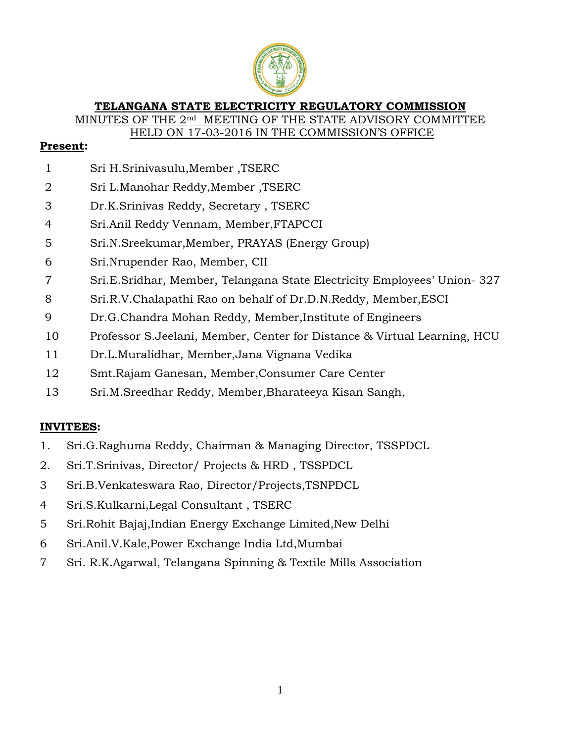

### **TELANGANA STATE ELECTRICITY REGULATORY COMMISSION**

MINUTES OF THE 2<sup>nd</sup> MEETING OF THE STATE ADVISORY COMMITTEE

HELD ON 17-03-2016 IN THE COMMISSION'S OFFICE

## **Present:**

- Sri H.Srinivasulu,Member ,TSERC
- Sri L.Manohar Reddy,Member ,TSERC
- Dr.K.Srinivas Reddy, Secretary , TSERC
- Sri.Anil Reddy Vennam, Member,FTAPCCI
- Sri.N.Sreekumar,Member, PRAYAS (Energy Group)
- Sri.Nrupender Rao, Member, CII
- Sri.E.Sridhar, Member, Telangana State Electricity Employees' Union- 327
- Sri.R.V.Chalapathi Rao on behalf of Dr.D.N.Reddy, Member,ESCI
- Dr.G.Chandra Mohan Reddy, Member,Institute of Engineers
- Professor S.Jeelani, Member, Center for Distance & Virtual Learning, HCU
- Dr.L.Muralidhar, Member,Jana Vignana Vedika
- Smt.Rajam Ganesan, Member,Consumer Care Center
- Sri.M.Sreedhar Reddy, Member,Bharateeya Kisan Sangh,

### **INVITEES:**

- 1. Sri.G.Raghuma Reddy, Chairman & Managing Director, TSSPDCL
- 2. Sri.T.Srinivas, Director/ Projects & HRD , TSSPDCL
- Sri.B.Venkateswara Rao, Director/Projects,TSNPDCL
- Sri.S.Kulkarni,Legal Consultant , TSERC
- Sri.Rohit Bajaj,Indian Energy Exchange Limited,New Delhi
- Sri.Anil.V.Kale,Power Exchange India Ltd,Mumbai
- Sri. R.K.Agarwal, Telangana Spinning & Textile Mills Association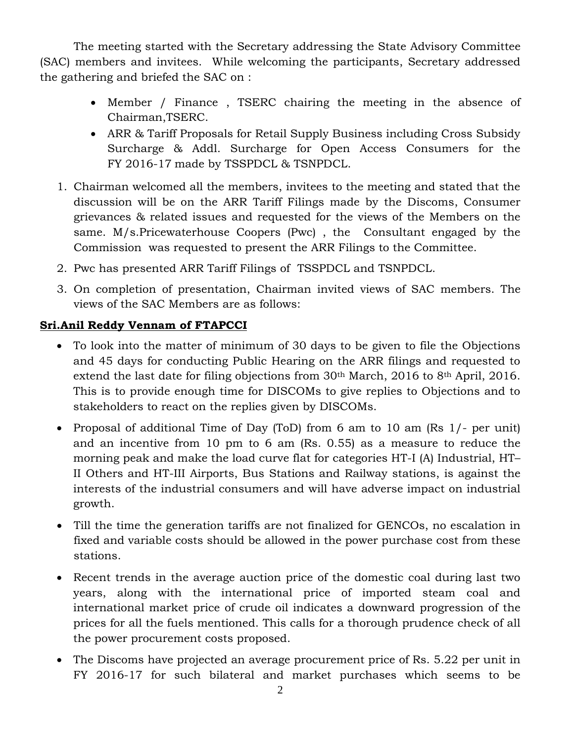The meeting started with the Secretary addressing the State Advisory Committee (SAC) members and invitees. While welcoming the participants, Secretary addressed the gathering and briefed the SAC on :

- Member / Finance , TSERC chairing the meeting in the absence of Chairman,TSERC.
- ARR & Tariff Proposals for Retail Supply Business including Cross Subsidy Surcharge & Addl. Surcharge for Open Access Consumers for the FY 2016-17 made by TSSPDCL & TSNPDCL.
- 1. Chairman welcomed all the members, invitees to the meeting and stated that the discussion will be on the ARR Tariff Filings made by the Discoms, Consumer grievances & related issues and requested for the views of the Members on the same. M/s.Pricewaterhouse Coopers (Pwc) , the Consultant engaged by the Commission was requested to present the ARR Filings to the Committee.
- 2. Pwc has presented ARR Tariff Filings of TSSPDCL and TSNPDCL.
- 3. On completion of presentation, Chairman invited views of SAC members. The views of the SAC Members are as follows:

# **Sri.Anil Reddy Vennam of FTAPCCI**

- To look into the matter of minimum of 30 days to be given to file the Objections and 45 days for conducting Public Hearing on the ARR filings and requested to extend the last date for filing objections from 30<sup>th</sup> March, 2016 to 8<sup>th</sup> April, 2016. This is to provide enough time for DISCOMs to give replies to Objections and to stakeholders to react on the replies given by DISCOMs.
- Proposal of additional Time of Day (ToD) from 6 am to 10 am (Rs 1/- per unit) and an incentive from 10 pm to 6 am (Rs. 0.55) as a measure to reduce the morning peak and make the load curve flat for categories HT-I (A) Industrial, HT– II Others and HT-III Airports, Bus Stations and Railway stations, is against the interests of the industrial consumers and will have adverse impact on industrial growth.
- Till the time the generation tariffs are not finalized for GENCOs, no escalation in fixed and variable costs should be allowed in the power purchase cost from these stations.
- Recent trends in the average auction price of the domestic coal during last two years, along with the international price of imported steam coal and international market price of crude oil indicates a downward progression of the prices for all the fuels mentioned. This calls for a thorough prudence check of all the power procurement costs proposed.
- The Discoms have projected an average procurement price of Rs. 5.22 per unit in FY 2016-17 for such bilateral and market purchases which seems to be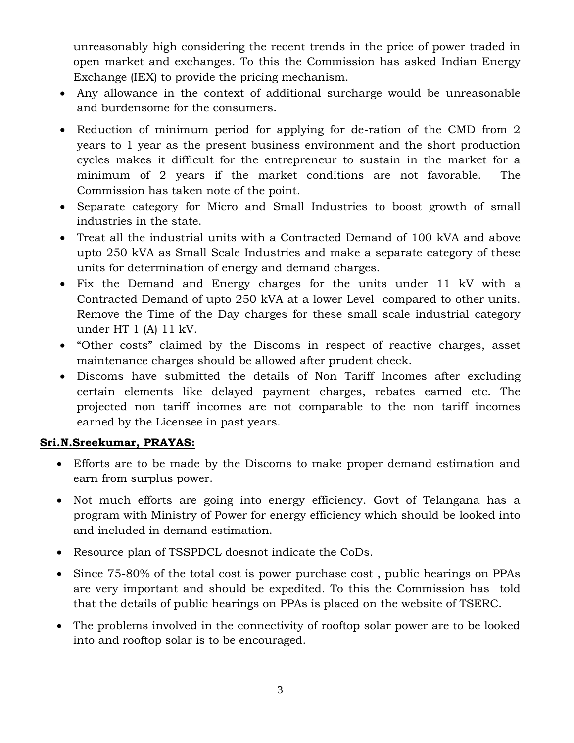unreasonably high considering the recent trends in the price of power traded in open market and exchanges. To this the Commission has asked Indian Energy Exchange (IEX) to provide the pricing mechanism.

- Any allowance in the context of additional surcharge would be unreasonable and burdensome for the consumers.
- Reduction of minimum period for applying for de-ration of the CMD from 2 years to 1 year as the present business environment and the short production cycles makes it difficult for the entrepreneur to sustain in the market for a minimum of 2 years if the market conditions are not favorable. The Commission has taken note of the point.
- Separate category for Micro and Small Industries to boost growth of small industries in the state.
- Treat all the industrial units with a Contracted Demand of 100 kVA and above upto 250 kVA as Small Scale Industries and make a separate category of these units for determination of energy and demand charges.
- Fix the Demand and Energy charges for the units under 11 kV with a Contracted Demand of upto 250 kVA at a lower Level compared to other units. Remove the Time of the Day charges for these small scale industrial category under HT 1 (A) 11 kV.
- "Other costs" claimed by the Discoms in respect of reactive charges, asset maintenance charges should be allowed after prudent check.
- Discoms have submitted the details of Non Tariff Incomes after excluding certain elements like delayed payment charges, rebates earned etc. The projected non tariff incomes are not comparable to the non tariff incomes earned by the Licensee in past years.

### **Sri.N.Sreekumar, PRAYAS:**

- Efforts are to be made by the Discoms to make proper demand estimation and earn from surplus power.
- Not much efforts are going into energy efficiency. Govt of Telangana has a program with Ministry of Power for energy efficiency which should be looked into and included in demand estimation.
- Resource plan of TSSPDCL doesnot indicate the CoDs.
- Since 75-80% of the total cost is power purchase cost, public hearings on PPAs are very important and should be expedited. To this the Commission has told that the details of public hearings on PPAs is placed on the website of TSERC.
- The problems involved in the connectivity of rooftop solar power are to be looked into and rooftop solar is to be encouraged.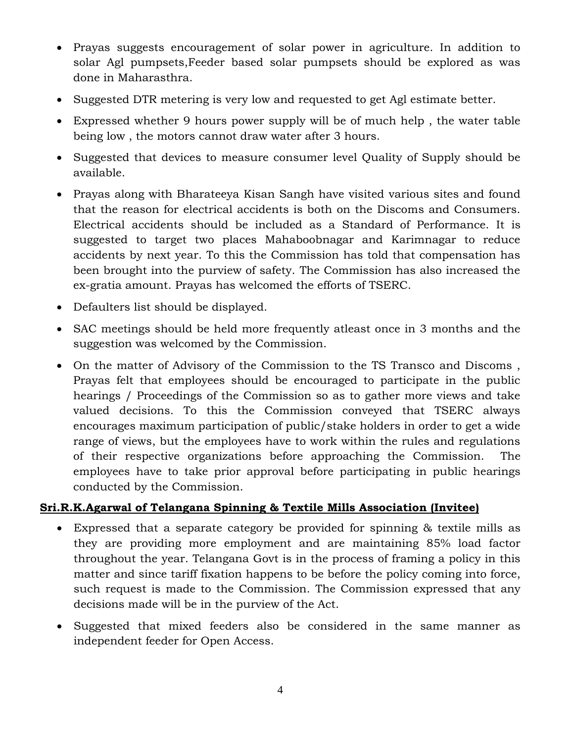- Prayas suggests encouragement of solar power in agriculture. In addition to solar Agl pumpsets,Feeder based solar pumpsets should be explored as was done in Maharasthra.
- Suggested DTR metering is very low and requested to get Agl estimate better.
- Expressed whether 9 hours power supply will be of much help , the water table being low , the motors cannot draw water after 3 hours.
- Suggested that devices to measure consumer level Quality of Supply should be available.
- Prayas along with Bharateeya Kisan Sangh have visited various sites and found that the reason for electrical accidents is both on the Discoms and Consumers. Electrical accidents should be included as a Standard of Performance. It is suggested to target two places Mahaboobnagar and Karimnagar to reduce accidents by next year. To this the Commission has told that compensation has been brought into the purview of safety. The Commission has also increased the ex-gratia amount. Prayas has welcomed the efforts of TSERC.
- Defaulters list should be displayed.
- SAC meetings should be held more frequently atleast once in 3 months and the suggestion was welcomed by the Commission.
- On the matter of Advisory of the Commission to the TS Transco and Discoms , Prayas felt that employees should be encouraged to participate in the public hearings / Proceedings of the Commission so as to gather more views and take valued decisions. To this the Commission conveyed that TSERC always encourages maximum participation of public/stake holders in order to get a wide range of views, but the employees have to work within the rules and regulations of their respective organizations before approaching the Commission. The employees have to take prior approval before participating in public hearings conducted by the Commission.

### **Sri.R.K.Agarwal of Telangana Spinning & Textile Mills Association (Invitee)**

- Expressed that a separate category be provided for spinning & textile mills as they are providing more employment and are maintaining 85% load factor throughout the year. Telangana Govt is in the process of framing a policy in this matter and since tariff fixation happens to be before the policy coming into force, such request is made to the Commission. The Commission expressed that any decisions made will be in the purview of the Act.
- Suggested that mixed feeders also be considered in the same manner as independent feeder for Open Access.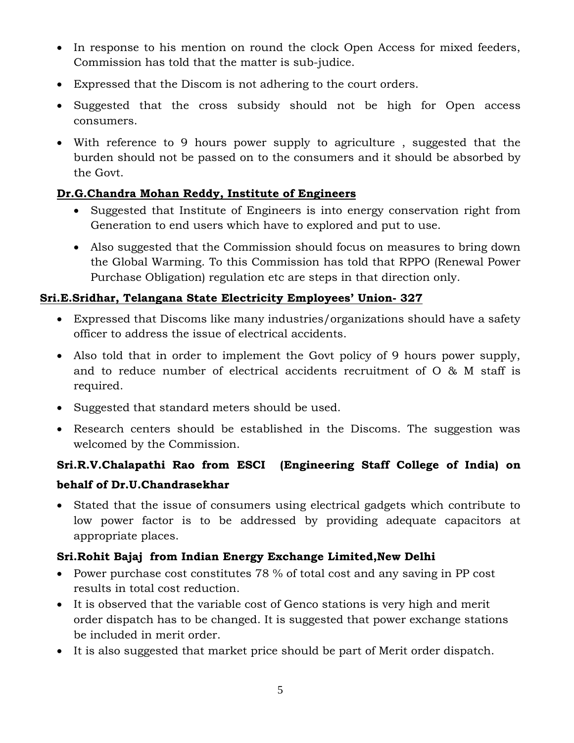- In response to his mention on round the clock Open Access for mixed feeders, Commission has told that the matter is sub-judice.
- Expressed that the Discom is not adhering to the court orders.
- Suggested that the cross subsidy should not be high for Open access consumers.
- With reference to 9 hours power supply to agriculture , suggested that the burden should not be passed on to the consumers and it should be absorbed by the Govt.

# **Dr.G.Chandra Mohan Reddy, Institute of Engineers**

- Suggested that Institute of Engineers is into energy conservation right from Generation to end users which have to explored and put to use.
- Also suggested that the Commission should focus on measures to bring down the Global Warming. To this Commission has told that RPPO (Renewal Power Purchase Obligation) regulation etc are steps in that direction only.

## **Sri.E.Sridhar, Telangana State Electricity Employees' Union- 327**

- Expressed that Discoms like many industries/organizations should have a safety officer to address the issue of electrical accidents.
- Also told that in order to implement the Govt policy of 9 hours power supply, and to reduce number of electrical accidents recruitment of O & M staff is required.
- Suggested that standard meters should be used.
- Research centers should be established in the Discoms. The suggestion was welcomed by the Commission.

# **Sri.R.V.Chalapathi Rao from ESCI (Engineering Staff College of India) on behalf of Dr.U.Chandrasekhar**

 Stated that the issue of consumers using electrical gadgets which contribute to low power factor is to be addressed by providing adequate capacitors at appropriate places.

# **Sri.Rohit Bajaj from Indian Energy Exchange Limited,New Delhi**

- Power purchase cost constitutes 78 % of total cost and any saving in PP cost results in total cost reduction.
- It is observed that the variable cost of Genco stations is very high and merit order dispatch has to be changed. It is suggested that power exchange stations be included in merit order.
- It is also suggested that market price should be part of Merit order dispatch.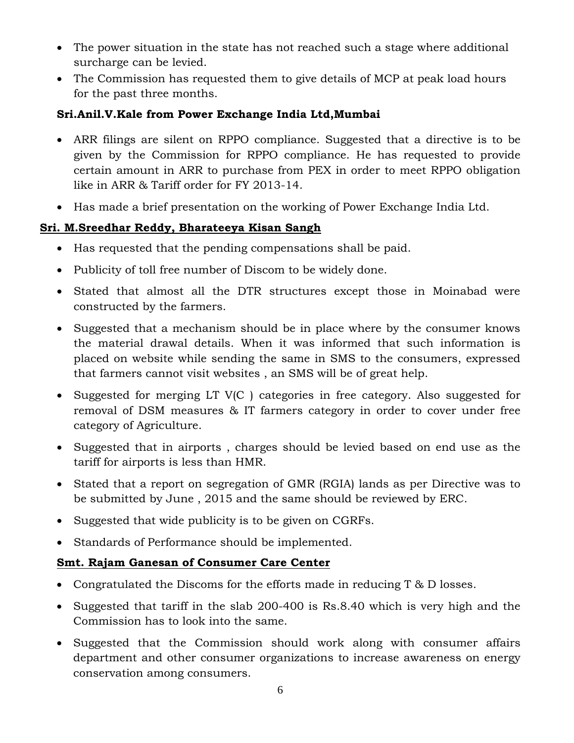- The power situation in the state has not reached such a stage where additional surcharge can be levied.
- The Commission has requested them to give details of MCP at peak load hours for the past three months.

## **Sri.Anil.V.Kale from Power Exchange India Ltd,Mumbai**

- ARR filings are silent on RPPO compliance. Suggested that a directive is to be given by the Commission for RPPO compliance. He has requested to provide certain amount in ARR to purchase from PEX in order to meet RPPO obligation like in ARR & Tariff order for FY 2013-14.
- Has made a brief presentation on the working of Power Exchange India Ltd.

# **Sri. M.Sreedhar Reddy, Bharateeya Kisan Sangh**

- Has requested that the pending compensations shall be paid.
- Publicity of toll free number of Discom to be widely done.
- Stated that almost all the DTR structures except those in Moinabad were constructed by the farmers.
- Suggested that a mechanism should be in place where by the consumer knows the material drawal details. When it was informed that such information is placed on website while sending the same in SMS to the consumers, expressed that farmers cannot visit websites , an SMS will be of great help.
- Suggested for merging LT V(C) categories in free category. Also suggested for removal of DSM measures & IT farmers category in order to cover under free category of Agriculture.
- Suggested that in airports , charges should be levied based on end use as the tariff for airports is less than HMR.
- Stated that a report on segregation of GMR (RGIA) lands as per Directive was to be submitted by June , 2015 and the same should be reviewed by ERC.
- Suggested that wide publicity is to be given on CGRFs.
- Standards of Performance should be implemented.

# **Smt. Rajam Ganesan of Consumer Care Center**

- Congratulated the Discoms for the efforts made in reducing T & D losses.
- Suggested that tariff in the slab 200-400 is Rs.8.40 which is very high and the Commission has to look into the same.
- Suggested that the Commission should work along with consumer affairs department and other consumer organizations to increase awareness on energy conservation among consumers.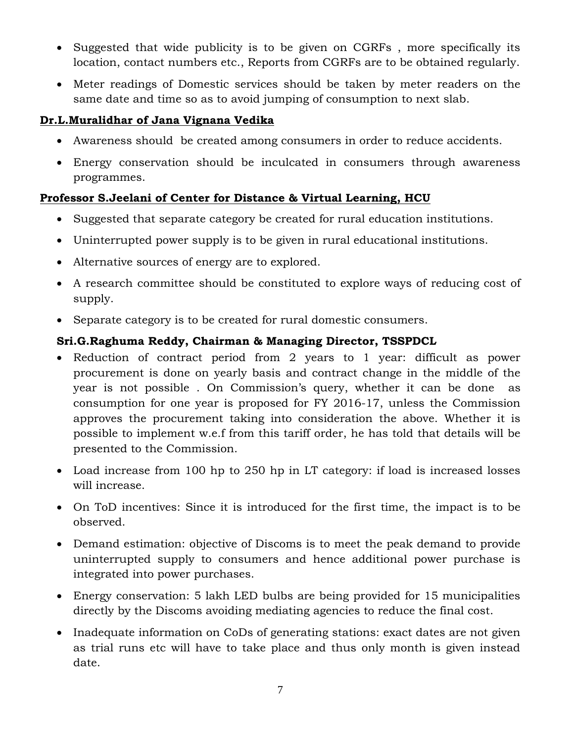- Suggested that wide publicity is to be given on CGRFs , more specifically its location, contact numbers etc., Reports from CGRFs are to be obtained regularly.
- Meter readings of Domestic services should be taken by meter readers on the same date and time so as to avoid jumping of consumption to next slab.

# **Dr.L.Muralidhar of Jana Vignana Vedika**

- Awareness should be created among consumers in order to reduce accidents.
- Energy conservation should be inculcated in consumers through awareness programmes.

## **Professor S.Jeelani of Center for Distance & Virtual Learning, HCU**

- Suggested that separate category be created for rural education institutions.
- Uninterrupted power supply is to be given in rural educational institutions.
- Alternative sources of energy are to explored.
- A research committee should be constituted to explore ways of reducing cost of supply.
- Separate category is to be created for rural domestic consumers.

# **Sri.G.Raghuma Reddy, Chairman & Managing Director, TSSPDCL**

- Reduction of contract period from 2 years to 1 year: difficult as power procurement is done on yearly basis and contract change in the middle of the year is not possible . On Commission's query, whether it can be done as consumption for one year is proposed for FY 2016-17, unless the Commission approves the procurement taking into consideration the above. Whether it is possible to implement w.e.f from this tariff order, he has told that details will be presented to the Commission.
- Load increase from 100 hp to 250 hp in LT category: if load is increased losses will increase.
- On ToD incentives: Since it is introduced for the first time, the impact is to be observed.
- Demand estimation: objective of Discoms is to meet the peak demand to provide uninterrupted supply to consumers and hence additional power purchase is integrated into power purchases.
- Energy conservation: 5 lakh LED bulbs are being provided for 15 municipalities directly by the Discoms avoiding mediating agencies to reduce the final cost.
- Inadequate information on CoDs of generating stations: exact dates are not given as trial runs etc will have to take place and thus only month is given instead date.